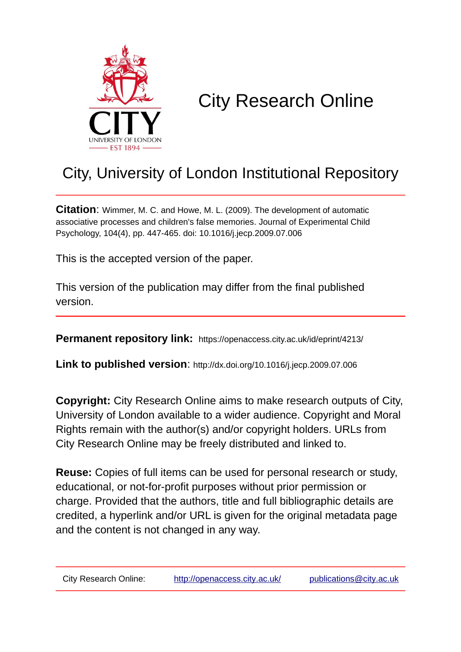

# City Research Online

# City, University of London Institutional Repository

**Citation**: Wimmer, M. C. and Howe, M. L. (2009). The development of automatic associative processes and children's false memories. Journal of Experimental Child Psychology, 104(4), pp. 447-465. doi: 10.1016/j.jecp.2009.07.006

This is the accepted version of the paper.

This version of the publication may differ from the final published version.

**Permanent repository link:** https://openaccess.city.ac.uk/id/eprint/4213/

**Link to published version**: http://dx.doi.org/10.1016/j.jecp.2009.07.006

**Copyright:** City Research Online aims to make research outputs of City, University of London available to a wider audience. Copyright and Moral Rights remain with the author(s) and/or copyright holders. URLs from City Research Online may be freely distributed and linked to.

**Reuse:** Copies of full items can be used for personal research or study, educational, or not-for-profit purposes without prior permission or charge. Provided that the authors, title and full bibliographic details are credited, a hyperlink and/or URL is given for the original metadata page and the content is not changed in any way.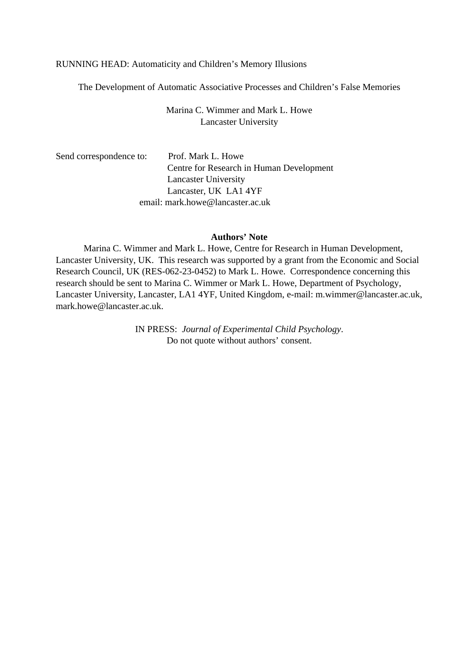# RUNNING HEAD: Automaticity and Children's Memory Illusions

The Development of Automatic Associative Processes and Children's False Memories

Marina C. Wimmer and Mark L. Howe Lancaster University

| Send correspondence to: | Prof. Mark L. Howe                       |
|-------------------------|------------------------------------------|
|                         | Centre for Research in Human Development |
|                         | <b>Lancaster University</b>              |
|                         | Lancaster, UK LA1 4YF                    |
|                         | email: mark.howe@lancaster.ac.uk         |

#### **Authors' Note**

Marina C. Wimmer and Mark L. Howe, Centre for Research in Human Development, Lancaster University, UK. This research was supported by a grant from the Economic and Social Research Council, UK (RES-062-23-0452) to Mark L. Howe. Correspondence concerning this research should be sent to Marina C. Wimmer or Mark L. Howe, Department of Psychology, Lancaster University, Lancaster, LA1 4YF, United Kingdom, e-mail: m.wimmer@lancaster.ac.uk, mark.howe@lancaster.ac.uk.

> IN PRESS: *Journal of Experimental Child Psychology*. Do not quote without authors' consent.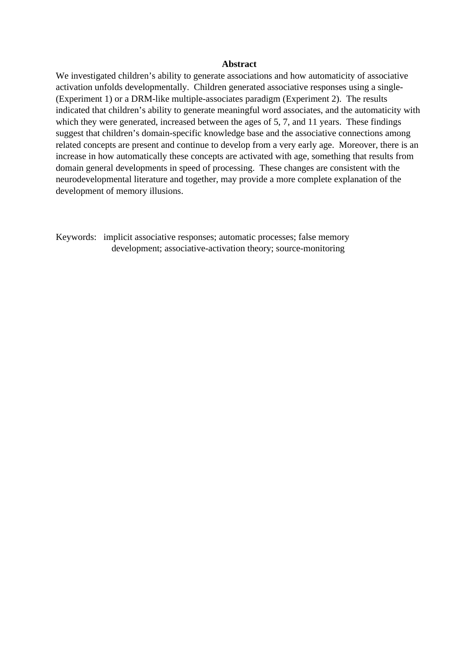# **Abstract**

We investigated children's ability to generate associations and how automaticity of associative activation unfolds developmentally. Children generated associative responses using a single- (Experiment 1) or a DRM-like multiple-associates paradigm (Experiment 2). The results indicated that children's ability to generate meaningful word associates, and the automaticity with which they were generated, increased between the ages of 5, 7, and 11 years. These findings suggest that children's domain-specific knowledge base and the associative connections among related concepts are present and continue to develop from a very early age. Moreover, there is an increase in how automatically these concepts are activated with age, something that results from domain general developments in speed of processing. These changes are consistent with the neurodevelopmental literature and together, may provide a more complete explanation of the development of memory illusions.

Keywords: implicit associative responses; automatic processes; false memory development; associative-activation theory; source-monitoring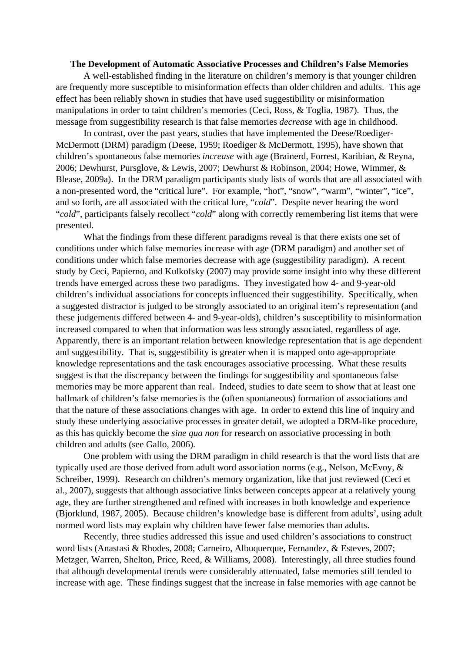#### **The Development of Automatic Associative Processes and Children's False Memories**

A well-established finding in the literature on children's memory is that younger children are frequently more susceptible to misinformation effects than older children and adults. This age effect has been reliably shown in studies that have used suggestibility or misinformation manipulations in order to taint children's memories (Ceci, Ross, & Toglia, 1987). Thus, the message from suggestibility research is that false memories *decrease* with age in childhood.

In contrast, over the past years, studies that have implemented the Deese/Roediger-McDermott (DRM) paradigm (Deese, 1959; Roediger & McDermott, 1995), have shown that children's spontaneous false memories *increase* with age (Brainerd, Forrest, Karibian, & Reyna, 2006; Dewhurst, Pursglove, & Lewis, 2007; Dewhurst & Robinson, 2004; Howe, Wimmer, & Blease, 2009a). In the DRM paradigm participants study lists of words that are all associated with a non-presented word, the "critical lure". For example, "hot", "snow", "warm", "winter", "ice", and so forth, are all associated with the critical lure, "*cold*". Despite never hearing the word "*cold*", participants falsely recollect "*cold*" along with correctly remembering list items that were presented.

What the findings from these different paradigms reveal is that there exists one set of conditions under which false memories increase with age (DRM paradigm) and another set of conditions under which false memories decrease with age (suggestibility paradigm). A recent study by Ceci, Papierno, and Kulkofsky (2007) may provide some insight into why these different trends have emerged across these two paradigms. They investigated how 4- and 9-year-old children's individual associations for concepts influenced their suggestibility. Specifically, when a suggested distractor is judged to be strongly associated to an original item's representation (and these judgements differed between 4- and 9-year-olds), children's susceptibility to misinformation increased compared to when that information was less strongly associated, regardless of age. Apparently, there is an important relation between knowledge representation that is age dependent and suggestibility. That is, suggestibility is greater when it is mapped onto age-appropriate knowledge representations and the task encourages associative processing. What these results suggest is that the discrepancy between the findings for suggestibility and spontaneous false memories may be more apparent than real. Indeed, studies to date seem to show that at least one hallmark of children's false memories is the (often spontaneous) formation of associations and that the nature of these associations changes with age. In order to extend this line of inquiry and study these underlying associative processes in greater detail, we adopted a DRM-like procedure, as this has quickly become the *sine qua non* for research on associative processing in both children and adults (see Gallo, 2006).

One problem with using the DRM paradigm in child research is that the word lists that are typically used are those derived from adult word association norms (e.g., Nelson, McEvoy, & Schreiber, 1999). Research on children's memory organization, like that just reviewed (Ceci et al., 2007), suggests that although associative links between concepts appear at a relatively young age, they are further strengthened and refined with increases in both knowledge and experience (Bjorklund, 1987, 2005). Because children's knowledge base is different from adults', using adult normed word lists may explain why children have fewer false memories than adults.

Recently, three studies addressed this issue and used children's associations to construct word lists (Anastasi & Rhodes, 2008; Carneiro, Albuquerque, Fernandez, & Esteves, 2007; Metzger, Warren, Shelton, Price, Reed, & Williams, 2008). Interestingly, all three studies found that although developmental trends were considerably attenuated, false memories still tended to increase with age. These findings suggest that the increase in false memories with age cannot be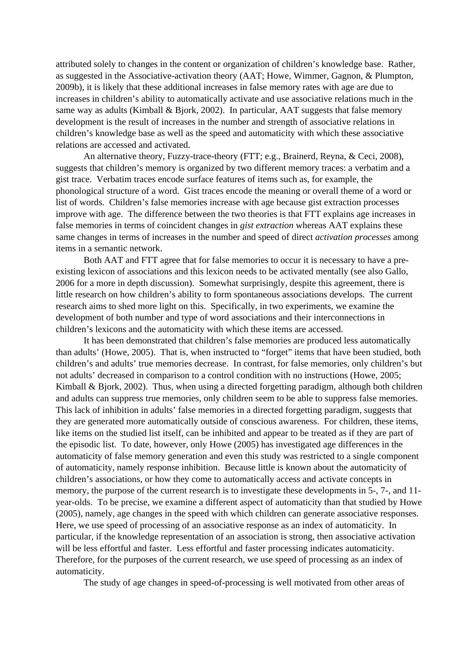attributed solely to changes in the content or organization of children's knowledge base. Rather, as suggested in the Associative-activation theory (AAT; Howe, Wimmer, Gagnon, & Plumpton, 2009b), it is likely that these additional increases in false memory rates with age are due to increases in children's ability to automatically activate and use associative relations much in the same way as adults (Kimball & Bjork, 2002). In particular, AAT suggests that false memory development is the result of increases in the number and strength of associative relations in children's knowledge base as well as the speed and automaticity with which these associative relations are accessed and activated.

An alternative theory, Fuzzy-trace-theory (FTT; e.g., Brainerd, Reyna, & Ceci, 2008), suggests that children's memory is organized by two different memory traces: a verbatim and a gist trace. Verbatim traces encode surface features of items such as, for example, the phonological structure of a word. Gist traces encode the meaning or overall theme of a word or list of words. Children's false memories increase with age because gist extraction processes improve with age. The difference between the two theories is that FTT explains age increases in false memories in terms of coincident changes in *gist extraction* whereas AAT explains these same changes in terms of increases in the number and speed of direct *activation processes* among items in a semantic network.

Both AAT and FTT agree that for false memories to occur it is necessary to have a preexisting lexicon of associations and this lexicon needs to be activated mentally (see also Gallo, 2006 for a more in depth discussion). Somewhat surprisingly, despite this agreement, there is little research on how children's ability to form spontaneous associations develops. The current research aims to shed more light on this. Specifically, in two experiments, we examine the development of both number and type of word associations and their interconnections in children's lexicons and the automaticity with which these items are accessed.

It has been demonstrated that children's false memories are produced less automatically than adults' (Howe, 2005). That is, when instructed to "forget" items that have been studied, both children's and adults' true memories decrease. In contrast, for false memories, only children's but not adults' decreased in comparison to a control condition with no instructions (Howe, 2005; Kimball & Bjork, 2002). Thus, when using a directed forgetting paradigm, although both children and adults can suppress true memories, only children seem to be able to suppress false memories. This lack of inhibition in adults' false memories in a directed forgetting paradigm, suggests that they are generated more automatically outside of conscious awareness. For children, these items, like items on the studied list itself, can be inhibited and appear to be treated as if they are part of the episodic list. To date, however, only Howe (2005) has investigated age differences in the automaticity of false memory generation and even this study was restricted to a single component of automaticity, namely response inhibition. Because little is known about the automaticity of children's associations, or how they come to automatically access and activate concepts in memory, the purpose of the current research is to investigate these developments in 5-, 7-, and 11 year-olds. To be precise, we examine a different aspect of automaticity than that studied by Howe (2005), namely, age changes in the speed with which children can generate associative responses. Here, we use speed of processing of an associative response as an index of automaticity. In particular, if the knowledge representation of an association is strong, then associative activation will be less effortful and faster. Less effortful and faster processing indicates automaticity. Therefore, for the purposes of the current research, we use speed of processing as an index of automaticity.

The study of age changes in speed-of-processing is well motivated from other areas of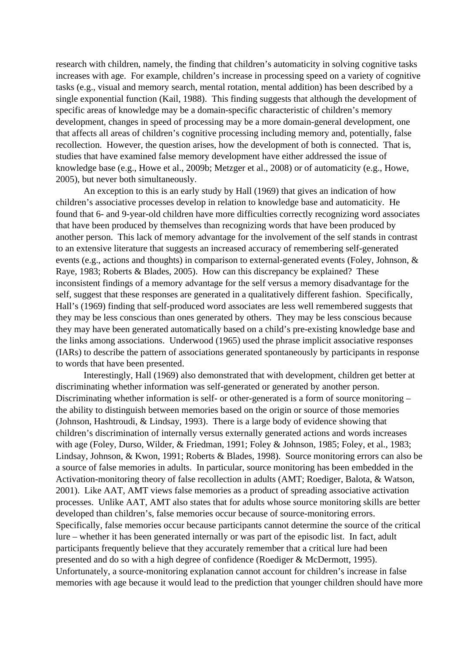research with children, namely, the finding that children's automaticity in solving cognitive tasks increases with age. For example, children's increase in processing speed on a variety of cognitive tasks (e.g., visual and memory search, mental rotation, mental addition) has been described by a single exponential function (Kail, 1988). This finding suggests that although the development of specific areas of knowledge may be a domain-specific characteristic of children's memory development, changes in speed of processing may be a more domain-general development, one that affects all areas of children's cognitive processing including memory and, potentially, false recollection. However, the question arises, how the development of both is connected. That is, studies that have examined false memory development have either addressed the issue of knowledge base (e.g., Howe et al., 2009b; Metzger et al., 2008) or of automaticity (e.g., Howe, 2005), but never both simultaneously.

 An exception to this is an early study by Hall (1969) that gives an indication of how children's associative processes develop in relation to knowledge base and automaticity. He found that 6- and 9-year-old children have more difficulties correctly recognizing word associates that have been produced by themselves than recognizing words that have been produced by another person. This lack of memory advantage for the involvement of the self stands in contrast to an extensive literature that suggests an increased accuracy of remembering self-generated events (e.g., actions and thoughts) in comparison to external-generated events (Foley, Johnson, & Raye, 1983; Roberts & Blades, 2005). How can this discrepancy be explained? These inconsistent findings of a memory advantage for the self versus a memory disadvantage for the self, suggest that these responses are generated in a qualitatively different fashion. Specifically, Hall's (1969) finding that self-produced word associates are less well remembered suggests that they may be less conscious than ones generated by others. They may be less conscious because they may have been generated automatically based on a child's pre-existing knowledge base and the links among associations. Underwood (1965) used the phrase implicit associative responses (IARs) to describe the pattern of associations generated spontaneously by participants in response to words that have been presented.

Interestingly, Hall (1969) also demonstrated that with development, children get better at discriminating whether information was self-generated or generated by another person. Discriminating whether information is self- or other-generated is a form of source monitoring – the ability to distinguish between memories based on the origin or source of those memories (Johnson, Hashtroudi, & Lindsay, 1993). There is a large body of evidence showing that children's discrimination of internally versus externally generated actions and words increases with age (Foley, Durso, Wilder, & Friedman, 1991; Foley & Johnson, 1985; Foley, et al., 1983; Lindsay, Johnson, & Kwon, 1991; Roberts & Blades, 1998). Source monitoring errors can also be a source of false memories in adults. In particular, source monitoring has been embedded in the Activation-monitoring theory of false recollection in adults (AMT; Roediger, Balota, & Watson, 2001). Like AAT, AMT views false memories as a product of spreading associative activation processes. Unlike AAT, AMT also states that for adults whose source monitoring skills are better developed than children's, false memories occur because of source-monitoring errors. Specifically, false memories occur because participants cannot determine the source of the critical lure – whether it has been generated internally or was part of the episodic list. In fact, adult participants frequently believe that they accurately remember that a critical lure had been presented and do so with a high degree of confidence (Roediger & McDermott, 1995). Unfortunately, a source-monitoring explanation cannot account for children's increase in false memories with age because it would lead to the prediction that younger children should have more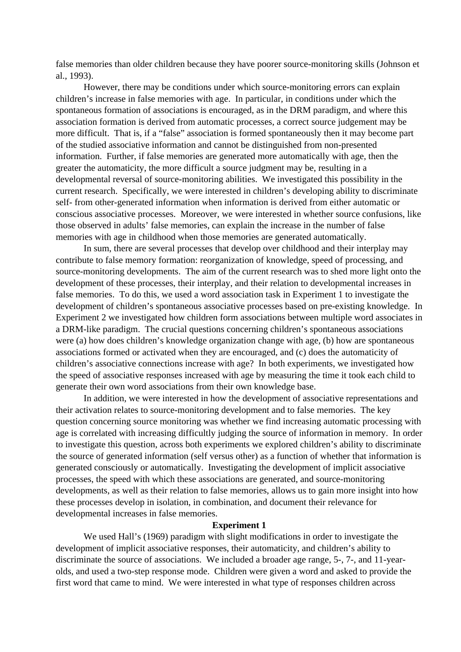false memories than older children because they have poorer source-monitoring skills (Johnson et al., 1993).

However, there may be conditions under which source-monitoring errors can explain children's increase in false memories with age. In particular, in conditions under which the spontaneous formation of associations is encouraged, as in the DRM paradigm, and where this association formation is derived from automatic processes, a correct source judgement may be more difficult. That is, if a "false" association is formed spontaneously then it may become part of the studied associative information and cannot be distinguished from non-presented information. Further, if false memories are generated more automatically with age, then the greater the automaticity, the more difficult a source judgment may be, resulting in a developmental reversal of source-monitoring abilities. We investigated this possibility in the current research. Specifically, we were interested in children's developing ability to discriminate self- from other-generated information when information is derived from either automatic or conscious associative processes. Moreover, we were interested in whether source confusions, like those observed in adults' false memories, can explain the increase in the number of false memories with age in childhood when those memories are generated automatically.

In sum, there are several processes that develop over childhood and their interplay may contribute to false memory formation: reorganization of knowledge, speed of processing, and source-monitoring developments. The aim of the current research was to shed more light onto the development of these processes, their interplay, and their relation to developmental increases in false memories. To do this, we used a word association task in Experiment 1 to investigate the development of children's spontaneous associative processes based on pre-existing knowledge. In Experiment 2 we investigated how children form associations between multiple word associates in a DRM-like paradigm. The crucial questions concerning children's spontaneous associations were (a) how does children's knowledge organization change with age, (b) how are spontaneous associations formed or activated when they are encouraged, and (c) does the automaticity of children's associative connections increase with age? In both experiments, we investigated how the speed of associative responses increased with age by measuring the time it took each child to generate their own word associations from their own knowledge base.

In addition, we were interested in how the development of associative representations and their activation relates to source-monitoring development and to false memories. The key question concerning source monitoring was whether we find increasing automatic processing with age is correlated with increasing difficultly judging the source of information in memory. In order to investigate this question, across both experiments we explored children's ability to discriminate the source of generated information (self versus other) as a function of whether that information is generated consciously or automatically. Investigating the development of implicit associative processes, the speed with which these associations are generated, and source-monitoring developments, as well as their relation to false memories, allows us to gain more insight into how these processes develop in isolation, in combination, and document their relevance for developmental increases in false memories.

#### **Experiment 1**

We used Hall's (1969) paradigm with slight modifications in order to investigate the development of implicit associative responses, their automaticity, and children's ability to discriminate the source of associations. We included a broader age range, 5-, 7-, and 11-yearolds, and used a two-step response mode. Children were given a word and asked to provide the first word that came to mind. We were interested in what type of responses children across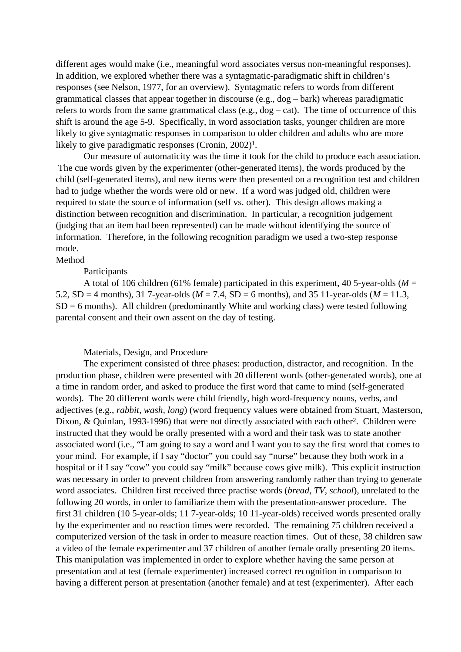different ages would make (i.e., meaningful word associates versus non-meaningful responses). In addition, we explored whether there was a syntagmatic-paradigmatic shift in children's responses (see Nelson, 1977, for an overview). Syntagmatic refers to words from different grammatical classes that appear together in discourse (e.g., dog – bark) whereas paradigmatic refers to words from the same grammatical class (e.g., dog – cat). The time of occurrence of this shift is around the age 5-9. Specifically, in word association tasks, younger children are more likely to give syntagmatic responses in comparison to older children and adults who are more likely to give paradigmatic responses (Cronin, 2002)<sup>1</sup>.

Our measure of automaticity was the time it took for the child to produce each association. The cue words given by the experimenter (other-generated items), the words produced by the child (self-generated items), and new items were then presented on a recognition test and children had to judge whether the words were old or new. If a word was judged old, children were required to state the source of information (self vs. other). This design allows making a distinction between recognition and discrimination. In particular, a recognition judgement (judging that an item had been represented) can be made without identifying the source of information. Therefore, in the following recognition paradigm we used a two-step response mode.

# Method

# Participants

A total of 106 children (61% female) participated in this experiment, 40 5-year-olds (*M* = 5.2, SD = 4 months), 31 7-year-olds ( $M = 7.4$ , SD = 6 months), and 35 11-year-olds ( $M = 11.3$ ,  $SD = 6$  months). All children (predominantly White and working class) were tested following parental consent and their own assent on the day of testing.

# Materials, Design, and Procedure

The experiment consisted of three phases: production, distractor, and recognition. In the production phase, children were presented with 20 different words (other-generated words), one at a time in random order, and asked to produce the first word that came to mind (self-generated words). The 20 different words were child friendly, high word-frequency nouns, verbs, and adjectives (e.g., *rabbit, wash, long*) (word frequency values were obtained from Stuart, Masterson, Dixon, & Quinlan, 1993-1996) that were not directly associated with each other<sup>2</sup>. Children were instructed that they would be orally presented with a word and their task was to state another associated word (i.e., "I am going to say a word and I want you to say the first word that comes to your mind. For example, if I say "doctor" you could say "nurse" because they both work in a hospital or if I say "cow" you could say "milk" because cows give milk). This explicit instruction was necessary in order to prevent children from answering randomly rather than trying to generate word associates. Children first received three practise words (*bread, TV, school*), unrelated to the following 20 words, in order to familiarize them with the presentation-answer procedure. The first 31 children (10 5-year-olds; 11 7-year-olds; 10 11-year-olds) received words presented orally by the experimenter and no reaction times were recorded. The remaining 75 children received a computerized version of the task in order to measure reaction times. Out of these, 38 children saw a video of the female experimenter and 37 children of another female orally presenting 20 items. This manipulation was implemented in order to explore whether having the same person at presentation and at test (female experimenter) increased correct recognition in comparison to having a different person at presentation (another female) and at test (experimenter). After each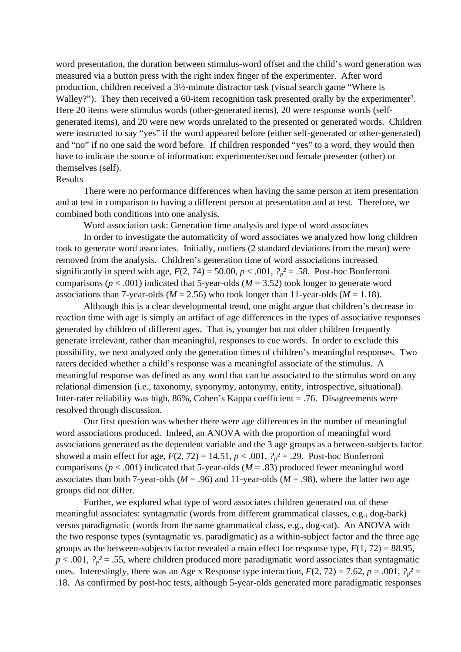word presentation, the duration between stimulus-word offset and the child's word generation was measured via a button press with the right index finger of the experimenter. After word production, children received a 3½-minute distractor task (visual search game "Where is Walley?"). They then received a 60-item recognition task presented orally by the experimenter<sup>3</sup>. Here 20 items were stimulus words (other-generated items), 20 were response words (selfgenerated items), and 20 were new words unrelated to the presented or generated words. Children were instructed to say "yes" if the word appeared before (either self-generated or other-generated) and "no" if no one said the word before. If children responded "yes" to a word, they would then have to indicate the source of information: experimenter/second female presenter (other) or themselves (self).

#### Results

There were no performance differences when having the same person at item presentation and at test in comparison to having a different person at presentation and at test. Therefore, we combined both conditions into one analysis.

Word association task: Generation time analysis and type of word associates

In order to investigate the automaticity of word associates we analyzed how long children took to generate word associates. Initially, outliers (2 standard deviations from the mean) were removed from the analysis. Children's generation time of word associations increased significantly in speed with age,  $F(2, 74) = 50.00$ ,  $p < .001$ ,  $\frac{p}{p} = .58$ . Post-hoc Bonferroni comparisons ( $p < .001$ ) indicated that 5-year-olds ( $M = 3.52$ ) took longer to generate word associations than 7-year-olds ( $M = 2.56$ ) who took longer than 11-year-olds ( $M = 1.18$ ).

Although this is a clear developmental trend, one might argue that children's decrease in reaction time with age is simply an artifact of age differences in the types of associative responses generated by children of different ages. That is, younger but not older children frequently generate irrelevant, rather than meaningful, responses to cue words. In order to exclude this possibility, we next analyzed only the generation times of children's meaningful responses. Two raters decided whether a child's response was a meaningful associate of the stimulus. A meaningful response was defined as any word that can be associated to the stimulus word on any relational dimension (i.e., taxonomy, synonymy, antonymy, entity, introspective, situational). Inter-rater reliability was high, 86%, Cohen's Kappa coefficient = .76. Disagreements were resolved through discussion.

Our first question was whether there were age differences in the number of meaningful word associations produced. Indeed, an ANOVA with the proportion of meaningful word associations generated as the dependent variable and the 3 age groups as a between-subjects factor showed a main effect for age,  $F(2, 72) = 14.51$ ,  $p < .001$ ,  $\frac{2}{p^2} = .29$ . Post-hoc Bonferroni comparisons ( $p < .001$ ) indicated that 5-year-olds ( $M = .83$ ) produced fewer meaningful word associates than both 7-year-olds ( $M = .96$ ) and 11-year-olds ( $M = .98$ ), where the latter two age groups did not differ.

Further, we explored what type of word associates children generated out of these meaningful associates: syntagmatic (words from different grammatical classes, e.g., dog-bark) versus paradigmatic (words from the same grammatical class, e.g., dog-cat). An ANOVA with the two response types (syntagmatic vs. paradigmatic) as a within-subject factor and the three age groups as the between-subjects factor revealed a main effect for response type,  $F(1, 72) = 88.95$ ,  $p < .001$ ,  $P_p^2 = .55$ , where children produced more paradigmatic word associates than syntagmatic ones. Interestingly, there was an Age x Response type interaction,  $F(2, 72) = 7.62$ ,  $p = .001$ ,  $\frac{2}{p^2} =$ .18. As confirmed by post-hoc tests, although 5-year-olds generated more paradigmatic responses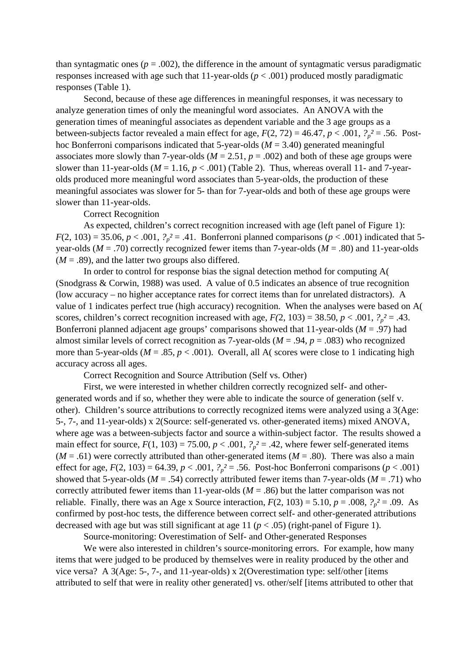than syntagmatic ones ( $p = .002$ ), the difference in the amount of syntagmatic versus paradigmatic responses increased with age such that  $11$ -year-olds ( $p < .001$ ) produced mostly paradigmatic responses (Table 1).

Second, because of these age differences in meaningful responses, it was necessary to analyze generation times of only the meaningful word associates. An ANOVA with the generation times of meaningful associates as dependent variable and the 3 age groups as a between-subjects factor revealed a main effect for age,  $F(2, 72) = 46.47$ ,  $p < .001$ ,  $\frac{2}{p^2} = .56$ . Posthoc Bonferroni comparisons indicated that 5-year-olds  $(M = 3.40)$  generated meaningful associates more slowly than 7-year-olds  $(M = 2.51, p = .002)$  and both of these age groups were slower than 11-year-olds ( $M = 1.16$ ,  $p < .001$ ) (Table 2). Thus, whereas overall 11- and 7-yearolds produced more meaningful word associates than 5-year-olds, the production of these meaningful associates was slower for 5- than for 7-year-olds and both of these age groups were slower than 11-year-olds.

Correct Recognition

As expected, children's correct recognition increased with age (left panel of Figure 1): *F*(2, 103) = 35.06, *p* < .001,  $?_p^2$  = .41. Bonferroni planned comparisons (*p* < .001) indicated that 5year-olds (*M* = .70) correctly recognized fewer items than 7-year-olds (*M* = .80) and 11-year-olds  $(M = .89)$ , and the latter two groups also differed.

In order to control for response bias the signal detection method for computing A( (Snodgrass & Corwin, 1988) was used. A value of 0.5 indicates an absence of true recognition (low accuracy – no higher acceptance rates for correct items than for unrelated distractors). A value of 1 indicates perfect true (high accuracy) recognition. When the analyses were based on A( scores, children's correct recognition increased with age,  $F(2, 103) = 38.50$ ,  $p < .001$ ,  $\frac{2}{p^2} = .43$ . Bonferroni planned adjacent age groups' comparisons showed that 11-year-olds (*M* = .97) had almost similar levels of correct recognition as 7-year-olds ( $M = .94$ ,  $p = .083$ ) who recognized more than 5-year-olds ( $M = 0.85$ ,  $p < 0.001$ ). Overall, all A( scores were close to 1 indicating high accuracy across all ages.

Correct Recognition and Source Attribution (Self vs. Other)

First, we were interested in whether children correctly recognized self- and othergenerated words and if so, whether they were able to indicate the source of generation (self v. other). Children's source attributions to correctly recognized items were analyzed using a 3(Age: 5-, 7-, and 11-year-olds) x 2(Source: self-generated vs. other-generated items) mixed ANOVA, where age was a between-subjects factor and source a within-subject factor. The results showed a main effect for source,  $F(1, 103) = 75.00$ ,  $p < .001$ ,  $\frac{2}{p^2} = .42$ , where fewer self-generated items  $(M = .61)$  were correctly attributed than other-generated items  $(M = .80)$ . There was also a main effect for age,  $F(2, 103) = 64.39, p < .001, ?<sub>p</sub><sup>2</sup> = .56$ . Post-hoc Bonferroni comparisons ( $p < .001$ ) showed that 5-year-olds ( $M = .54$ ) correctly attributed fewer items than 7-year-olds ( $M = .71$ ) who correctly attributed fewer items than 11-year-olds ( $M = .86$ ) but the latter comparison was not reliable. Finally, there was an Age x Source interaction,  $F(2, 103) = 5.10$ ,  $p = .008$ ,  $\frac{2}{p^2} = .09$ . As confirmed by post-hoc tests, the difference between correct self- and other-generated attributions decreased with age but was still significant at age 11 ( $p < .05$ ) (right-panel of Figure 1).

Source-monitoring: Overestimation of Self- and Other-generated Responses

We were also interested in children's source-monitoring errors. For example, how many items that were judged to be produced by themselves were in reality produced by the other and vice versa? A 3(Age: 5-, 7-, and 11-year-olds) x 2(Overestimation type: self/other [items attributed to self that were in reality other generated] vs. other/self [items attributed to other that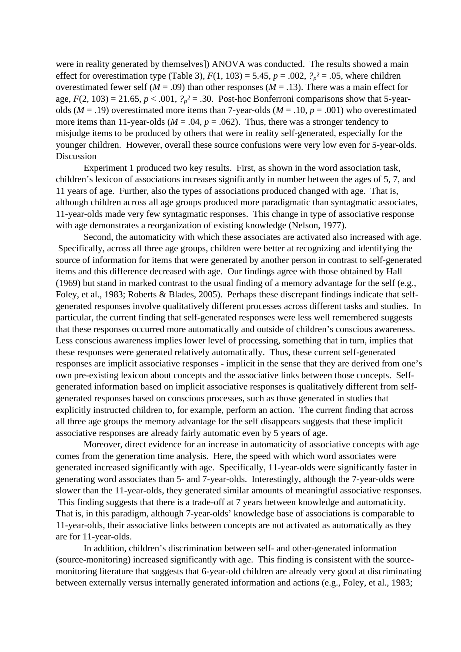were in reality generated by themselves]) ANOVA was conducted. The results showed a main effect for overestimation type (Table 3),  $F(1, 103) = 5.45$ ,  $p = .002$ ,  $\frac{p}{p^2} = .05$ , where children overestimated fewer self ( $M = .09$ ) than other responses ( $M = .13$ ). There was a main effect for age,  $F(2, 103) = 21.65$ ,  $p < .001$ ,  $\frac{2}{p^2} = .30$ . Post-hoc Bonferroni comparisons show that 5-yearolds ( $M = .19$ ) overestimated more items than 7-year-olds ( $M = .10$ ,  $p = .001$ ) who overestimated more items than 11-year-olds ( $M = .04$ ,  $p = .062$ ). Thus, there was a stronger tendency to misjudge items to be produced by others that were in reality self-generated, especially for the younger children. However, overall these source confusions were very low even for 5-year-olds. Discussion

Experiment 1 produced two key results. First, as shown in the word association task, children's lexicon of associations increases significantly in number between the ages of 5, 7, and 11 years of age. Further, also the types of associations produced changed with age. That is, although children across all age groups produced more paradigmatic than syntagmatic associates, 11-year-olds made very few syntagmatic responses. This change in type of associative response with age demonstrates a reorganization of existing knowledge (Nelson, 1977).

Second, the automaticity with which these associates are activated also increased with age. Specifically, across all three age groups, children were better at recognizing and identifying the source of information for items that were generated by another person in contrast to self-generated items and this difference decreased with age. Our findings agree with those obtained by Hall (1969) but stand in marked contrast to the usual finding of a memory advantage for the self (e.g., Foley, et al., 1983; Roberts & Blades, 2005). Perhaps these discrepant findings indicate that selfgenerated responses involve qualitatively different processes across different tasks and studies. In particular, the current finding that self-generated responses were less well remembered suggests that these responses occurred more automatically and outside of children's conscious awareness. Less conscious awareness implies lower level of processing, something that in turn, implies that these responses were generated relatively automatically. Thus, these current self-generated responses are implicit associative responses - implicit in the sense that they are derived from one's own pre-existing lexicon about concepts and the associative links between those concepts. Selfgenerated information based on implicit associative responses is qualitatively different from selfgenerated responses based on conscious processes, such as those generated in studies that explicitly instructed children to, for example, perform an action. The current finding that across all three age groups the memory advantage for the self disappears suggests that these implicit associative responses are already fairly automatic even by 5 years of age.

Moreover, direct evidence for an increase in automaticity of associative concepts with age comes from the generation time analysis. Here, the speed with which word associates were generated increased significantly with age. Specifically, 11-year-olds were significantly faster in generating word associates than 5- and 7-year-olds. Interestingly, although the 7-year-olds were slower than the 11-year-olds, they generated similar amounts of meaningful associative responses. This finding suggests that there is a trade-off at 7 years between knowledge and automaticity. That is, in this paradigm, although 7-year-olds' knowledge base of associations is comparable to 11-year-olds, their associative links between concepts are not activated as automatically as they are for 11-year-olds.

In addition, children's discrimination between self- and other-generated information (source-monitoring) increased significantly with age. This finding is consistent with the sourcemonitoring literature that suggests that 6-year-old children are already very good at discriminating between externally versus internally generated information and actions (e.g., Foley, et al., 1983;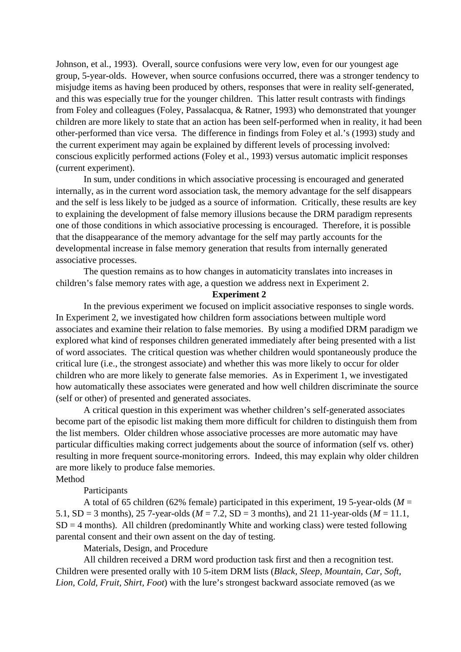Johnson, et al., 1993). Overall, source confusions were very low, even for our youngest age group, 5-year-olds. However, when source confusions occurred, there was a stronger tendency to misjudge items as having been produced by others, responses that were in reality self-generated, and this was especially true for the younger children. This latter result contrasts with findings from Foley and colleagues (Foley, Passalacqua, & Ratner, 1993) who demonstrated that younger children are more likely to state that an action has been self-performed when in reality, it had been other-performed than vice versa. The difference in findings from Foley et al.'s (1993) study and the current experiment may again be explained by different levels of processing involved: conscious explicitly performed actions (Foley et al., 1993) versus automatic implicit responses (current experiment).

In sum, under conditions in which associative processing is encouraged and generated internally, as in the current word association task, the memory advantage for the self disappears and the self is less likely to be judged as a source of information. Critically, these results are key to explaining the development of false memory illusions because the DRM paradigm represents one of those conditions in which associative processing is encouraged. Therefore, it is possible that the disappearance of the memory advantage for the self may partly accounts for the developmental increase in false memory generation that results from internally generated associative processes.

The question remains as to how changes in automaticity translates into increases in children's false memory rates with age, a question we address next in Experiment 2.

#### **Experiment 2**

 In the previous experiment we focused on implicit associative responses to single words. In Experiment 2, we investigated how children form associations between multiple word associates and examine their relation to false memories. By using a modified DRM paradigm we explored what kind of responses children generated immediately after being presented with a list of word associates. The critical question was whether children would spontaneously produce the critical lure (i.e., the strongest associate) and whether this was more likely to occur for older children who are more likely to generate false memories. As in Experiment 1, we investigated how automatically these associates were generated and how well children discriminate the source (self or other) of presented and generated associates.

A critical question in this experiment was whether children's self-generated associates become part of the episodic list making them more difficult for children to distinguish them from the list members. Older children whose associative processes are more automatic may have particular difficulties making correct judgements about the source of information (self vs. other) resulting in more frequent source-monitoring errors. Indeed, this may explain why older children are more likely to produce false memories.

Method

# Participants

A total of 65 children (62% female) participated in this experiment, 19 5-year-olds (*M* = 5.1, SD = 3 months), 25 7-year-olds ( $M = 7.2$ , SD = 3 months), and 21 11-year-olds ( $M = 11.1$ ,  $SD = 4$  months). All children (predominantly White and working class) were tested following parental consent and their own assent on the day of testing.

Materials, Design, and Procedure

All children received a DRM word production task first and then a recognition test. Children were presented orally with 10 5-item DRM lists (*Black, Sleep, Mountain, Car, Soft, Lion, Cold, Fruit, Shirt, Foot*) with the lure's strongest backward associate removed (as we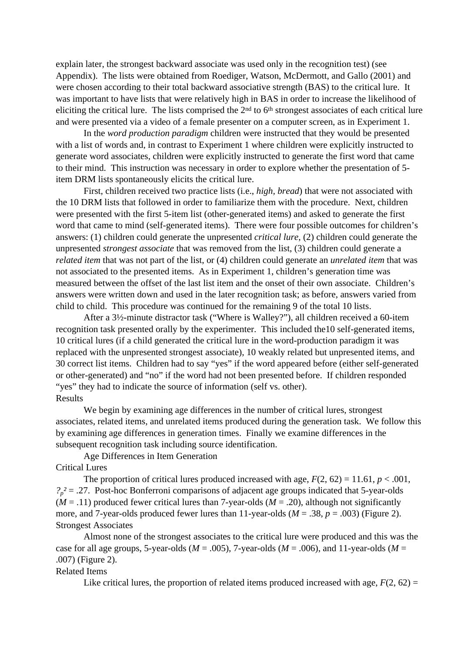explain later, the strongest backward associate was used only in the recognition test) (see Appendix). The lists were obtained from Roediger, Watson, McDermott, and Gallo (2001) and were chosen according to their total backward associative strength (BAS) to the critical lure. It was important to have lists that were relatively high in BAS in order to increase the likelihood of eliciting the critical lure. The lists comprised the  $2<sup>nd</sup>$  to 6<sup>th</sup> strongest associates of each critical lure and were presented via a video of a female presenter on a computer screen, as in Experiment 1.

In the *word production paradigm* children were instructed that they would be presented with a list of words and, in contrast to Experiment 1 where children were explicitly instructed to generate word associates, children were explicitly instructed to generate the first word that came to their mind. This instruction was necessary in order to explore whether the presentation of 5 item DRM lists spontaneously elicits the critical lure.

First, children received two practice lists (i.e., *high, bread*) that were not associated with the 10 DRM lists that followed in order to familiarize them with the procedure. Next, children were presented with the first 5-item list (other-generated items) and asked to generate the first word that came to mind (self-generated items). There were four possible outcomes for children's answers: (1) children could generate the unpresented *critical lure*, (2) children could generate the unpresented *strongest associate* that was removed from the list, (3) children could generate a *related item* that was not part of the list, or (4) children could generate an *unrelated item* that was not associated to the presented items. As in Experiment 1, children's generation time was measured between the offset of the last list item and the onset of their own associate. Children's answers were written down and used in the later recognition task; as before, answers varied from child to child. This procedure was continued for the remaining 9 of the total 10 lists.

After a 3½-minute distractor task ("Where is Walley?"), all children received a 60-item recognition task presented orally by the experimenter. This included the10 self-generated items, 10 critical lures (if a child generated the critical lure in the word-production paradigm it was replaced with the unpresented strongest associate), 10 weakly related but unpresented items, and 30 correct list items. Children had to say "yes" if the word appeared before (either self-generated or other-generated) and "no" if the word had not been presented before. If children responded "yes" they had to indicate the source of information (self vs. other). Results

We begin by examining age differences in the number of critical lures, strongest associates, related items, and unrelated items produced during the generation task. We follow this by examining age differences in generation times. Finally we examine differences in the subsequent recognition task including source identification.

Age Differences in Item Generation Critical Lures

The proportion of critical lures produced increased with age,  $F(2, 62) = 11.61$ ,  $p < .001$ ,  $?$ <sup>2</sup> = .27. Post-hoc Bonferroni comparisons of adjacent age groups indicated that 5-year-olds  $(M = .11)$  produced fewer critical lures than 7-year-olds  $(M = .20)$ , although not significantly more, and 7-year-olds produced fewer lures than 11-year-olds ( $M = .38$ ,  $p = .003$ ) (Figure 2). Strongest Associates

Almost none of the strongest associates to the critical lure were produced and this was the case for all age groups, 5-year-olds ( $M = .005$ ), 7-year-olds ( $M = .006$ ), and 11-year-olds ( $M =$ .007) (Figure 2).

# Related Items

Like critical lures, the proportion of related items produced increased with age,  $F(2, 62) =$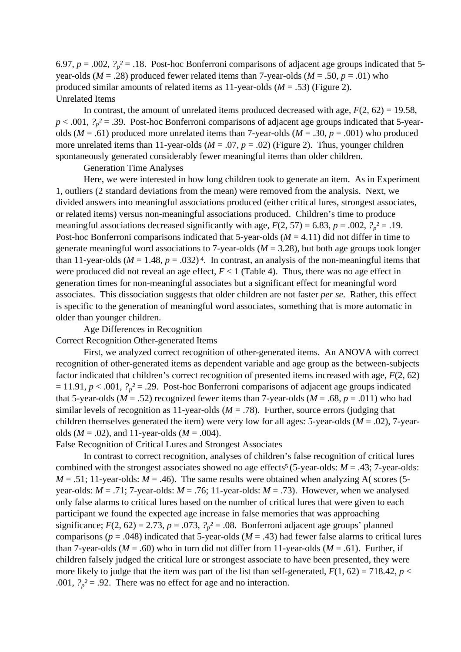6.97,  $p = .002$ ,  $\frac{p}{p^2} = .18$ . Post-hoc Bonferroni comparisons of adjacent age groups indicated that 5year-olds (*M* = .28) produced fewer related items than 7-year-olds (*M* = .50, *p* = .01) who produced similar amounts of related items as 11-year-olds (*M* = .53) (Figure 2). Unrelated Items

In contrast, the amount of unrelated items produced decreased with age,  $F(2, 62) = 19.58$ ,  $p < .001$ ,  $P_p^2 = .39$ . Post-hoc Bonferroni comparisons of adjacent age groups indicated that 5-yearolds ( $M = .61$ ) produced more unrelated items than 7-year-olds ( $M = .30$ ,  $p = .001$ ) who produced more unrelated items than 11-year-olds ( $M = .07$ ,  $p = .02$ ) (Figure 2). Thus, younger children spontaneously generated considerably fewer meaningful items than older children.

Generation Time Analyses

Here, we were interested in how long children took to generate an item. As in Experiment 1, outliers (2 standard deviations from the mean) were removed from the analysis. Next, we divided answers into meaningful associations produced (either critical lures, strongest associates, or related items) versus non-meaningful associations produced. Children's time to produce meaningful associations decreased significantly with age,  $F(2, 57) = 6.83$ ,  $p = .002$ ,  $\frac{2}{p} = .19$ . Post-hoc Bonferroni comparisons indicated that 5-year-olds (*M* = 4.11) did not differ in time to generate meaningful word associations to 7-year-olds ( $M = 3.28$ ), but both age groups took longer than 11-year-olds ( $M = 1.48$ ,  $p = .032$ )<sup>4</sup>. In contrast, an analysis of the non-meaningful items that were produced did not reveal an age effect,  $F < 1$  (Table 4). Thus, there was no age effect in generation times for non-meaningful associates but a significant effect for meaningful word associates. This dissociation suggests that older children are not faster *per se*. Rather, this effect is specific to the generation of meaningful word associates, something that is more automatic in older than younger children.

Age Differences in Recognition

Correct Recognition Other-generated Items

First, we analyzed correct recognition of other-generated items. An ANOVA with correct recognition of other-generated items as dependent variable and age group as the between-subjects factor indicated that children's correct recognition of presented items increased with age, *F*(2, 62)  $= 11.91, p < .001, ?<sub>p</sub> = .29$ . Post-hoc Bonferroni comparisons of adjacent age groups indicated that 5-year-olds ( $M = .52$ ) recognized fewer items than 7-year-olds ( $M = .68$ ,  $p = .011$ ) who had similar levels of recognition as 11-year-olds  $(M = .78)$ . Further, source errors (judging that children themselves generated the item) were very low for all ages: 5-year-olds (*M* = .02), 7-yearolds ( $M = .02$ ), and 11-year-olds ( $M = .004$ ).

# False Recognition of Critical Lures and Strongest Associates

In contrast to correct recognition, analyses of children's false recognition of critical lures combined with the strongest associates showed no age effects<sup>5</sup> (5-year-olds:  $M = .43$ ; 7-year-olds:  $M = .51$ ; 11-year-olds:  $M = .46$ ). The same results were obtained when analyzing A( scores (5year-olds:  $M = .71$ ; 7-year-olds:  $M = .76$ ; 11-year-olds:  $M = .73$ ). However, when we analysed only false alarms to critical lures based on the number of critical lures that were given to each participant we found the expected age increase in false memories that was approaching significance;  $F(2, 62) = 2.73$ ,  $p = .073$ ,  $\frac{2}{p} = .08$ . Bonferroni adjacent age groups' planned comparisons ( $p = .048$ ) indicated that 5-year-olds ( $M = .43$ ) had fewer false alarms to critical lures than 7-year-olds ( $M = .60$ ) who in turn did not differ from 11-year-olds ( $M = .61$ ). Further, if children falsely judged the critical lure or strongest associate to have been presented, they were more likely to judge that the item was part of the list than self-generated,  $F(1, 62) = 718.42$ ,  $p <$ .001,  $?_{p}$ <sup>2</sup> = .92. There was no effect for age and no interaction.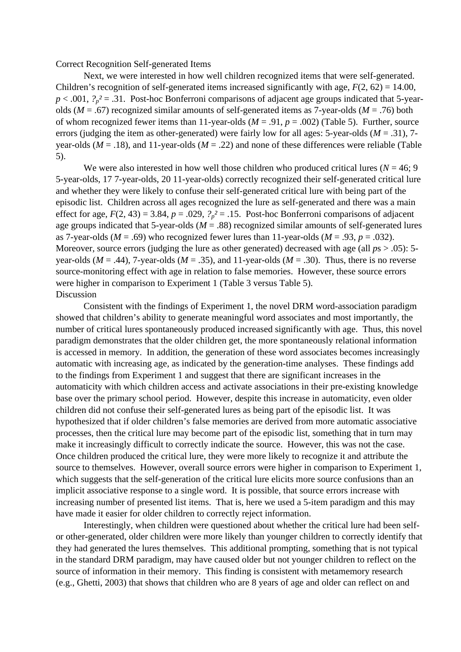#### Correct Recognition Self-generated Items

Next, we were interested in how well children recognized items that were self-generated. Children's recognition of self-generated items increased significantly with age,  $F(2, 62) = 14.00$ ,  $p < .001$ ,  $?p^2 = .31$ . Post-hoc Bonferroni comparisons of adjacent age groups indicated that 5-yearolds (*M* = .67) recognized similar amounts of self-generated items as 7-year-olds (*M* = .76) both of whom recognized fewer items than 11-year-olds  $(M = .91, p = .002)$  (Table 5). Further, source errors (judging the item as other-generated) were fairly low for all ages: 5-year-olds (*M* = .31), 7 year-olds ( $M = .18$ ), and 11-year-olds ( $M = .22$ ) and none of these differences were reliable (Table 5).

We were also interested in how well those children who produced critical lures ( $N = 46$ ; 9) 5-year-olds, 17 7-year-olds, 20 11-year-olds) correctly recognized their self-generated critical lure and whether they were likely to confuse their self-generated critical lure with being part of the episodic list. Children across all ages recognized the lure as self-generated and there was a main effect for age,  $F(2, 43) = 3.84$ ,  $p = .029$ ,  $\frac{2}{p^2} = .15$ . Post-hoc Bonferroni comparisons of adjacent age groups indicated that 5-year-olds  $(M = .88)$  recognized similar amounts of self-generated lures as 7-year-olds ( $M = .69$ ) who recognized fewer lures than 11-year-olds ( $M = .93$ ,  $p = .032$ ). Moreover, source errors (judging the lure as other generated) decreased with age (all  $ps > .05$ ): 5year-olds ( $M = .44$ ), 7-year-olds ( $M = .35$ ), and 11-year-olds ( $M = .30$ ). Thus, there is no reverse source-monitoring effect with age in relation to false memories. However, these source errors were higher in comparison to Experiment 1 (Table 3 versus Table 5). Discussion

Consistent with the findings of Experiment 1, the novel DRM word-association paradigm showed that children's ability to generate meaningful word associates and most importantly, the number of critical lures spontaneously produced increased significantly with age. Thus, this novel paradigm demonstrates that the older children get, the more spontaneously relational information is accessed in memory. In addition, the generation of these word associates becomes increasingly automatic with increasing age, as indicated by the generation-time analyses. These findings add to the findings from Experiment 1 and suggest that there are significant increases in the automaticity with which children access and activate associations in their pre-existing knowledge base over the primary school period. However, despite this increase in automaticity, even older children did not confuse their self-generated lures as being part of the episodic list. It was hypothesized that if older children's false memories are derived from more automatic associative processes, then the critical lure may become part of the episodic list, something that in turn may make it increasingly difficult to correctly indicate the source. However, this was not the case. Once children produced the critical lure, they were more likely to recognize it and attribute the source to themselves. However, overall source errors were higher in comparison to Experiment 1, which suggests that the self-generation of the critical lure elicits more source confusions than an implicit associative response to a single word. It is possible, that source errors increase with increasing number of presented list items. That is, here we used a 5-item paradigm and this may have made it easier for older children to correctly reject information.

Interestingly, when children were questioned about whether the critical lure had been selfor other-generated, older children were more likely than younger children to correctly identify that they had generated the lures themselves. This additional prompting, something that is not typical in the standard DRM paradigm, may have caused older but not younger children to reflect on the source of information in their memory. This finding is consistent with metamemory research (e.g., Ghetti, 2003) that shows that children who are 8 years of age and older can reflect on and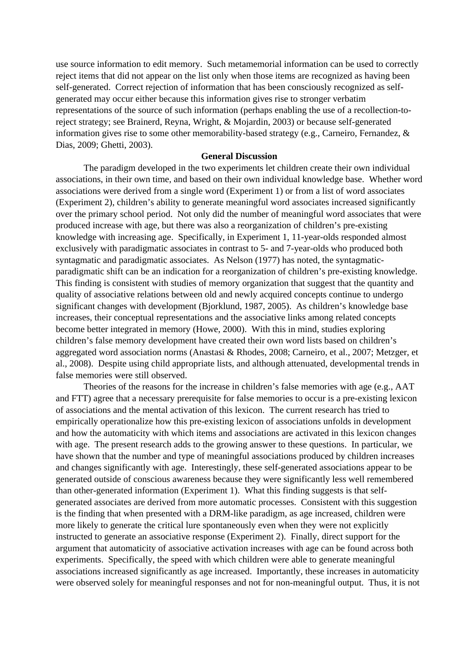use source information to edit memory. Such metamemorial information can be used to correctly reject items that did not appear on the list only when those items are recognized as having been self-generated. Correct rejection of information that has been consciously recognized as selfgenerated may occur either because this information gives rise to stronger verbatim representations of the source of such information (perhaps enabling the use of a recollection-toreject strategy; see Brainerd, Reyna, Wright, & Mojardin, 2003) or because self-generated information gives rise to some other memorability-based strategy (e.g., Carneiro, Fernandez, & Dias, 2009; Ghetti, 2003).

#### **General Discussion**

The paradigm developed in the two experiments let children create their own individual associations, in their own time, and based on their own individual knowledge base. Whether word associations were derived from a single word (Experiment 1) or from a list of word associates (Experiment 2), children's ability to generate meaningful word associates increased significantly over the primary school period. Not only did the number of meaningful word associates that were produced increase with age, but there was also a reorganization of children's pre-existing knowledge with increasing age. Specifically, in Experiment 1, 11-year-olds responded almost exclusively with paradigmatic associates in contrast to 5- and 7-year-olds who produced both syntagmatic and paradigmatic associates. As Nelson (1977) has noted, the syntagmaticparadigmatic shift can be an indication for a reorganization of children's pre-existing knowledge. This finding is consistent with studies of memory organization that suggest that the quantity and quality of associative relations between old and newly acquired concepts continue to undergo significant changes with development (Bjorklund, 1987, 2005). As children's knowledge base increases, their conceptual representations and the associative links among related concepts become better integrated in memory (Howe, 2000). With this in mind, studies exploring children's false memory development have created their own word lists based on children's aggregated word association norms (Anastasi & Rhodes, 2008; Carneiro, et al., 2007; Metzger, et al., 2008). Despite using child appropriate lists, and although attenuated, developmental trends in false memories were still observed.

Theories of the reasons for the increase in children's false memories with age (e.g., AAT and FTT) agree that a necessary prerequisite for false memories to occur is a pre-existing lexicon of associations and the mental activation of this lexicon. The current research has tried to empirically operationalize how this pre-existing lexicon of associations unfolds in development and how the automaticity with which items and associations are activated in this lexicon changes with age. The present research adds to the growing answer to these questions. In particular, we have shown that the number and type of meaningful associations produced by children increases and changes significantly with age. Interestingly, these self-generated associations appear to be generated outside of conscious awareness because they were significantly less well remembered than other-generated information (Experiment 1). What this finding suggests is that selfgenerated associates are derived from more automatic processes. Consistent with this suggestion is the finding that when presented with a DRM-like paradigm, as age increased, children were more likely to generate the critical lure spontaneously even when they were not explicitly instructed to generate an associative response (Experiment 2). Finally, direct support for the argument that automaticity of associative activation increases with age can be found across both experiments. Specifically, the speed with which children were able to generate meaningful associations increased significantly as age increased. Importantly, these increases in automaticity were observed solely for meaningful responses and not for non-meaningful output. Thus, it is not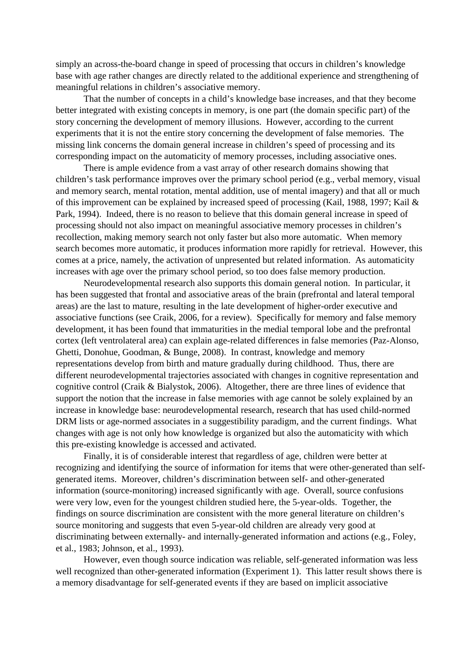simply an across-the-board change in speed of processing that occurs in children's knowledge base with age rather changes are directly related to the additional experience and strengthening of meaningful relations in children's associative memory.

That the number of concepts in a child's knowledge base increases, and that they become better integrated with existing concepts in memory, is one part (the domain specific part) of the story concerning the development of memory illusions. However, according to the current experiments that it is not the entire story concerning the development of false memories. The missing link concerns the domain general increase in children's speed of processing and its corresponding impact on the automaticity of memory processes, including associative ones.

There is ample evidence from a vast array of other research domains showing that children's task performance improves over the primary school period (e.g., verbal memory, visual and memory search, mental rotation, mental addition, use of mental imagery) and that all or much of this improvement can be explained by increased speed of processing (Kail, 1988, 1997; Kail & Park, 1994). Indeed, there is no reason to believe that this domain general increase in speed of processing should not also impact on meaningful associative memory processes in children's recollection, making memory search not only faster but also more automatic. When memory search becomes more automatic, it produces information more rapidly for retrieval. However, this comes at a price, namely, the activation of unpresented but related information. As automaticity increases with age over the primary school period, so too does false memory production.

Neurodevelopmental research also supports this domain general notion. In particular, it has been suggested that frontal and associative areas of the brain (prefrontal and lateral temporal areas) are the last to mature, resulting in the late development of higher-order executive and associative functions (see Craik, 2006, for a review). Specifically for memory and false memory development, it has been found that immaturities in the medial temporal lobe and the prefrontal cortex (left ventrolateral area) can explain age-related differences in false memories (Paz-Alonso, Ghetti, Donohue, Goodman, & Bunge, 2008). In contrast, knowledge and memory representations develop from birth and mature gradually during childhood. Thus, there are different neurodevelopmental trajectories associated with changes in cognitive representation and cognitive control (Craik & Bialystok, 2006). Altogether, there are three lines of evidence that support the notion that the increase in false memories with age cannot be solely explained by an increase in knowledge base: neurodevelopmental research, research that has used child-normed DRM lists or age-normed associates in a suggestibility paradigm, and the current findings. What changes with age is not only how knowledge is organized but also the automaticity with which this pre-existing knowledge is accessed and activated.

Finally, it is of considerable interest that regardless of age, children were better at recognizing and identifying the source of information for items that were other-generated than selfgenerated items. Moreover, children's discrimination between self- and other-generated information (source-monitoring) increased significantly with age. Overall, source confusions were very low, even for the youngest children studied here, the 5-year-olds. Together, the findings on source discrimination are consistent with the more general literature on children's source monitoring and suggests that even 5-year-old children are already very good at discriminating between externally- and internally-generated information and actions (e.g., Foley, et al., 1983; Johnson, et al., 1993).

However, even though source indication was reliable, self-generated information was less well recognized than other-generated information (Experiment 1). This latter result shows there is a memory disadvantage for self-generated events if they are based on implicit associative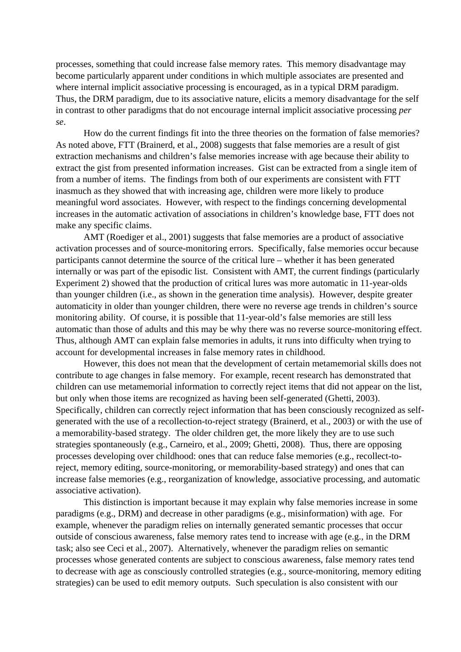processes, something that could increase false memory rates. This memory disadvantage may become particularly apparent under conditions in which multiple associates are presented and where internal implicit associative processing is encouraged, as in a typical DRM paradigm. Thus, the DRM paradigm, due to its associative nature, elicits a memory disadvantage for the self in contrast to other paradigms that do not encourage internal implicit associative processing *per se*.

How do the current findings fit into the three theories on the formation of false memories? As noted above, FTT (Brainerd, et al., 2008) suggests that false memories are a result of gist extraction mechanisms and children's false memories increase with age because their ability to extract the gist from presented information increases. Gist can be extracted from a single item of from a number of items. The findings from both of our experiments are consistent with FTT inasmuch as they showed that with increasing age, children were more likely to produce meaningful word associates. However, with respect to the findings concerning developmental increases in the automatic activation of associations in children's knowledge base, FTT does not make any specific claims.

AMT (Roediger et al., 2001) suggests that false memories are a product of associative activation processes and of source-monitoring errors. Specifically, false memories occur because participants cannot determine the source of the critical lure – whether it has been generated internally or was part of the episodic list. Consistent with AMT, the current findings (particularly Experiment 2) showed that the production of critical lures was more automatic in 11-year-olds than younger children (i.e., as shown in the generation time analysis). However, despite greater automaticity in older than younger children, there were no reverse age trends in children's source monitoring ability. Of course, it is possible that 11-year-old's false memories are still less automatic than those of adults and this may be why there was no reverse source-monitoring effect. Thus, although AMT can explain false memories in adults, it runs into difficulty when trying to account for developmental increases in false memory rates in childhood.

However, this does not mean that the development of certain metamemorial skills does not contribute to age changes in false memory. For example, recent research has demonstrated that children can use metamemorial information to correctly reject items that did not appear on the list, but only when those items are recognized as having been self-generated (Ghetti, 2003). Specifically, children can correctly reject information that has been consciously recognized as selfgenerated with the use of a recollection-to-reject strategy (Brainerd, et al., 2003) or with the use of a memorability-based strategy. The older children get, the more likely they are to use such strategies spontaneously (e.g., Carneiro, et al., 2009; Ghetti, 2008). Thus, there are opposing processes developing over childhood: ones that can reduce false memories (e.g., recollect-toreject, memory editing, source-monitoring, or memorability-based strategy) and ones that can increase false memories (e.g., reorganization of knowledge, associative processing, and automatic associative activation).

This distinction is important because it may explain why false memories increase in some paradigms (e.g., DRM) and decrease in other paradigms (e.g., misinformation) with age. For example, whenever the paradigm relies on internally generated semantic processes that occur outside of conscious awareness, false memory rates tend to increase with age (e.g., in the DRM task; also see Ceci et al., 2007). Alternatively, whenever the paradigm relies on semantic processes whose generated contents are subject to conscious awareness, false memory rates tend to decrease with age as consciously controlled strategies (e.g., source-monitoring, memory editing strategies) can be used to edit memory outputs. Such speculation is also consistent with our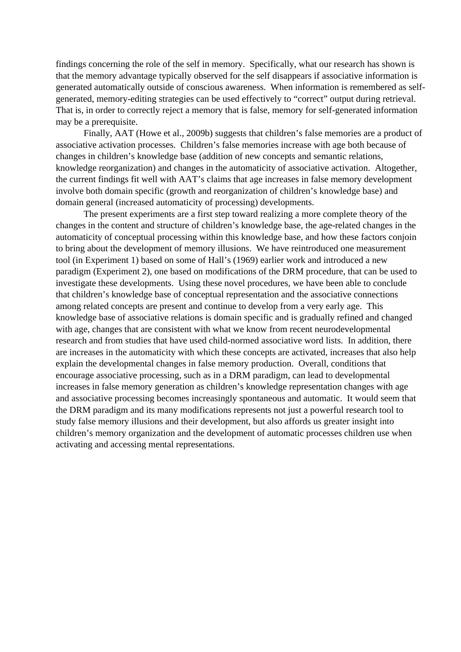findings concerning the role of the self in memory. Specifically, what our research has shown is that the memory advantage typically observed for the self disappears if associative information is generated automatically outside of conscious awareness. When information is remembered as selfgenerated, memory-editing strategies can be used effectively to "correct" output during retrieval. That is, in order to correctly reject a memory that is false, memory for self-generated information may be a prerequisite.

Finally, AAT (Howe et al., 2009b) suggests that children's false memories are a product of associative activation processes. Children's false memories increase with age both because of changes in children's knowledge base (addition of new concepts and semantic relations, knowledge reorganization) and changes in the automaticity of associative activation. Altogether, the current findings fit well with AAT's claims that age increases in false memory development involve both domain specific (growth and reorganization of children's knowledge base) and domain general (increased automaticity of processing) developments.

The present experiments are a first step toward realizing a more complete theory of the changes in the content and structure of children's knowledge base, the age-related changes in the automaticity of conceptual processing within this knowledge base, and how these factors conjoin to bring about the development of memory illusions. We have reintroduced one measurement tool (in Experiment 1) based on some of Hall's (1969) earlier work and introduced a new paradigm (Experiment 2), one based on modifications of the DRM procedure, that can be used to investigate these developments. Using these novel procedures, we have been able to conclude that children's knowledge base of conceptual representation and the associative connections among related concepts are present and continue to develop from a very early age. This knowledge base of associative relations is domain specific and is gradually refined and changed with age, changes that are consistent with what we know from recent neurodevelopmental research and from studies that have used child-normed associative word lists. In addition, there are increases in the automaticity with which these concepts are activated, increases that also help explain the developmental changes in false memory production. Overall, conditions that encourage associative processing, such as in a DRM paradigm, can lead to developmental increases in false memory generation as children's knowledge representation changes with age and associative processing becomes increasingly spontaneous and automatic. It would seem that the DRM paradigm and its many modifications represents not just a powerful research tool to study false memory illusions and their development, but also affords us greater insight into children's memory organization and the development of automatic processes children use when activating and accessing mental representations.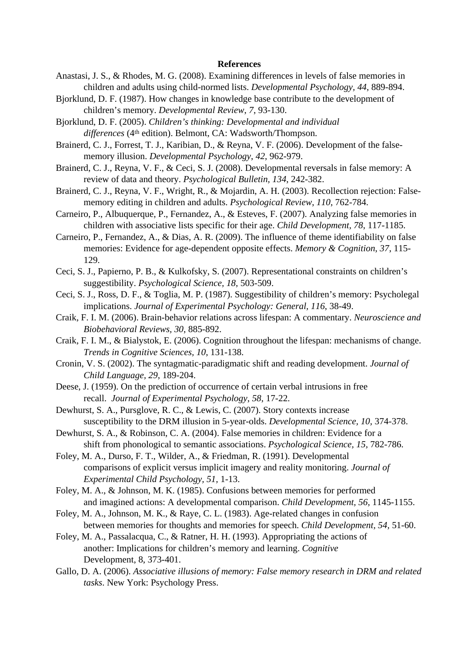#### **References**

- Anastasi, J. S., & Rhodes, M. G. (2008). Examining differences in levels of false memories in children and adults using child-normed lists. *Developmental Psychology, 44*, 889-894.
- Bjorklund, D. F. (1987). How changes in knowledge base contribute to the development of children's memory. *Developmental Review*, *7*, 93-130.
- Bjorklund, D. F. (2005). *Children's thinking: Developmental and individual differences* (4th edition). Belmont, CA: Wadsworth/Thompson.
- Brainerd, C. J., Forrest, T. J., Karibian, D., & Reyna, V. F. (2006). Development of the falsememory illusion. *Developmental Psychology*, *42*, 962-979.
- Brainerd, C. J., Reyna, V. F., & Ceci, S. J. (2008). Developmental reversals in false memory: A review of data and theory. *Psychological Bulletin, 134*, 242-382.
- Brainerd, C. J., Reyna, V. F., Wright, R., & Mojardin, A. H. (2003). Recollection rejection: Falsememory editing in children and adults. *Psychological Review*, *110*, 762-784.
- Carneiro, P., Albuquerque, P., Fernandez, A., & Esteves, F. (2007). Analyzing false memories in children with associative lists specific for their age. *Child Development, 78*, 117-1185.
- Carneiro, P., Fernandez, A., & Dias, A. R. (2009). The influence of theme identifiability on false memories: Evidence for age-dependent opposite effects. *Memory & Cognition*, *37*, 115- 129.
- Ceci, S. J., Papierno, P. B., & Kulkofsky, S. (2007). Representational constraints on children's suggestibility. *Psychological Science, 18*, 503-509.
- Ceci, S. J., Ross, D. F., & Toglia, M. P. (1987). Suggestibility of children's memory: Psycholegal implications. *Journal of Experimental Psychology: General, 116*, 38-49.
- Craik, F. I. M. (2006). Brain-behavior relations across lifespan: A commentary. *Neuroscience and Biobehavioral Reviews, 30*, 885-892.
- Craik, F. I. M., & Bialystok, E. (2006). Cognition throughout the lifespan: mechanisms of change. *Trends in Cognitive Sciences, 10*, 131-138.
- Cronin, V. S. (2002). The syntagmatic-paradigmatic shift and reading development. *Journal of Child Language, 29*, 189-204.
- Deese, J. (1959). On the prediction of occurrence of certain verbal intrusions in free recall. *Journal of Experimental Psychology*, *58*, 17-22.
- Dewhurst, S. A., Pursglove, R. C., & Lewis, C. (2007). Story contexts increase susceptibility to the DRM illusion in 5-year-olds. *Developmental Science, 10,* 374-378.
- Dewhurst, S. A., & Robinson, C. A. (2004). False memories in children: Evidence for a shift from phonological to semantic associations. *Psychological Science, 15,* 782-786.
- Foley, M. A., Durso, F. T., Wilder, A., & Friedman, R. (1991). Developmental comparisons of explicit versus implicit imagery and reality monitoring. *Journal of Experimental Child Psychology, 51,* 1-13.
- Foley, M. A., & Johnson, M. K. (1985). Confusions between memories for performed and imagined actions: A developmental comparison. *Child Development, 56,* 1145-1155.
- Foley, M. A., Johnson, M. K., & Raye, C. L. (1983). Age-related changes in confusion between memories for thoughts and memories for speech. *Child Development, 54,* 51-60.
- Foley, M. A., Passalacqua, C., & Ratner, H. H. (1993). Appropriating the actions of another: Implications for children's memory and learning. *Cognitive* Development, 8, 373-401.
- Gallo, D. A. (2006). *Associative illusions of memory: False memory research in DRM and related tasks*. New York: Psychology Press.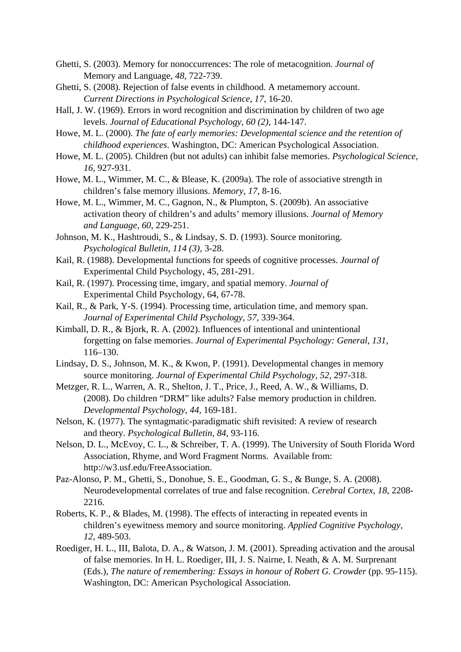- Ghetti, S. (2003). Memory for nonoccurrences: The role of metacognition. *Journal of* Memory and Language, *48*, 722-739.
- Ghetti, S. (2008). Rejection of false events in childhood. A metamemory account. *Current Directions in Psychological Science, 17*, 16-20.
- Hall, J. W. (1969). Errors in word recognition and discrimination by children of two age levels. *Journal of Educational Psychology, 60 (2),* 144-147.
- Howe, M. L. (2000). *The fate of early memories: Developmental science and the retention of childhood experiences*. Washington, DC: American Psychological Association.
- Howe, M. L. (2005). Children (but not adults) can inhibit false memories. *Psychological Science*, *16*, 927-931.
- Howe, M. L., Wimmer, M. C., & Blease, K. (2009a). The role of associative strength in children's false memory illusions. *Memory, 17*, 8-16.
- Howe, M. L., Wimmer, M. C., Gagnon, N., & Plumpton, S. (2009b). An associative activation theory of children's and adults' memory illusions. *Journal of Memory and Language*, *60*, 229-251.
- Johnson, M. K., Hashtroudi, S., & Lindsay, S. D. (1993). Source monitoring. *Psychological Bulletin, 114 (3),* 3-28.
- Kail, R. (1988). Developmental functions for speeds of cognitive processes. *Journal of* Experimental Child Psychology, 45, 281-291.
- Kail, R. (1997). Processing time, imgary, and spatial memory. *Journal of* Experimental Child Psychology, 64, 67-78.
- Kail, R., & Park, Y-S. (1994). Processing time, articulation time, and memory span. *Journal of Experimental Child Psychology, 57*, 339-364.
- Kimball, D. R., & Bjork, R. A. (2002). Influences of intentional and unintentional forgetting on false memories. *Journal of Experimental Psychology: General*, *131*, 116–130.
- Lindsay, D. S., Johnson, M. K., & Kwon, P. (1991). Developmental changes in memory source monitoring. *Journal of Experimental Child Psychology, 52,* 297-318.
- Metzger, R. L., Warren, A. R., Shelton, J. T., Price, J., Reed, A. W., & Williams, D. (2008). Do children "DRM" like adults? False memory production in children. *Developmental Psychology, 44*, 169-181.
- Nelson, K. (1977). The syntagmatic-paradigmatic shift revisited: A review of research and theory. *Psychological Bulletin, 84*, 93-116.
- Nelson, D. L., McEvoy, C. L., & Schreiber, T. A. (1999). The University of South Florida Word Association, Rhyme, and Word Fragment Norms. Available from: http://w3.usf.edu/FreeAssociation.
- Paz-Alonso, P. M., Ghetti, S., Donohue, S. E., Goodman, G. S., & Bunge, S. A. (2008). Neurodevelopmental correlates of true and false recognition. *Cerebral Cortex, 18*, 2208- 2216.
- Roberts, K. P., & Blades, M. (1998). The effects of interacting in repeated events in children's eyewitness memory and source monitoring. *Applied Cognitive Psychology, 12,* 489-503.
- Roediger, H. L., III, Balota, D. A., & Watson, J. M. (2001). Spreading activation and the arousal of false memories. In H. L. Roediger, III, J. S. Nairne, I. Neath, & A. M. Surprenant (Eds.), *The nature of remembering: Essays in honour of Robert G. Crowder* (pp. 95-115). Washington, DC: American Psychological Association.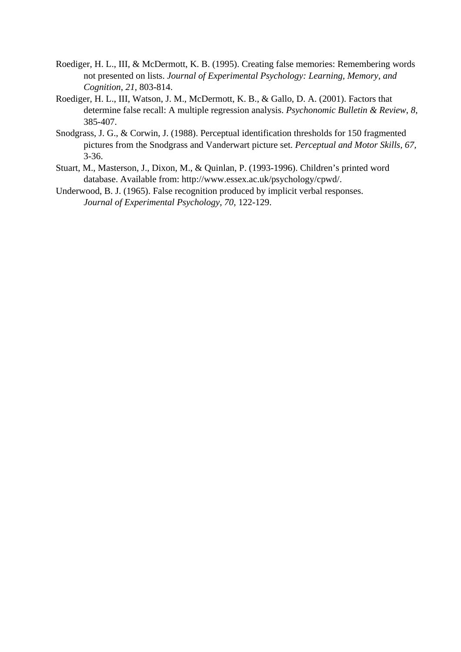- Roediger, H. L., III, & McDermott, K. B. (1995). Creating false memories: Remembering words not presented on lists. *Journal of Experimental Psychology: Learning, Memory, and Cognition*, *21*, 803-814.
- Roediger, H. L., III, Watson, J. M., McDermott, K. B., & Gallo, D. A. (2001). Factors that determine false recall: A multiple regression analysis. *Psychonomic Bulletin & Review*, *8*, 385-407.
- Snodgrass, J. G., & Corwin, J. (1988). Perceptual identification thresholds for 150 fragmented pictures from the Snodgrass and Vanderwart picture set. *Perceptual and Motor Skills, 67,* 3-36.
- Stuart, M., Masterson, J., Dixon, M., & Quinlan, P. (1993-1996). Children's printed word database. Available from: http://www.essex.ac.uk/psychology/cpwd/.
- Underwood, B. J. (1965). False recognition produced by implicit verbal responses. *Journal of Experimental Psychology*, *70*, 122-129.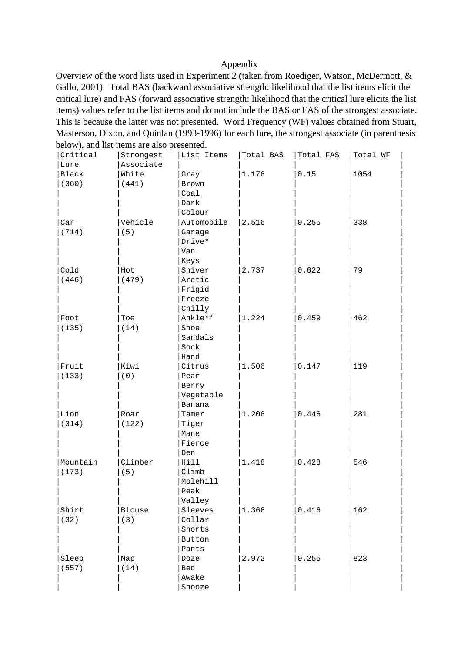# Appendix

Overview of the word lists used in Experiment 2 (taken from Roediger, Watson, McDermott, & Gallo, 2001). Total BAS (backward associative strength: likelihood that the list items elicit the critical lure) and FAS (forward associative strength: likelihood that the critical lure elicits the list items) values refer to the list items and do not include the BAS or FAS of the strongest associate. This is because the latter was not presented. Word Frequency (WF) values obtained from Stuart, Masterson, Dixon, and Quinlan (1993-1996) for each lure, the strongest associate (in parenthesis below), and list items are also presented.

| Critical        | Strongest | List Items | Total BAS | Total FAS | Total WF |
|-----------------|-----------|------------|-----------|-----------|----------|
| Lure            | Associate |            |           |           |          |
| Black           | White     | Gray       | 1.176     | 0.15      | 1054     |
| (360)           | (441)     | Brown      |           |           |          |
|                 |           | Coal       |           |           |          |
|                 |           | Dark       |           |           |          |
|                 |           | Colour     |           |           |          |
| Car             | Vehicle   | Automobile | 2.516     | 0.255     | 338      |
| (714)           | (5)       | Garage     |           |           |          |
|                 |           | Drive*     |           |           |          |
|                 |           | Van        |           |           |          |
|                 |           | Keys       |           |           |          |
| $\texttt{cold}$ | Hot       | Shiver     | 2.737     | 0.022     | 79       |
| (446)           | (479)     | Arctic     |           |           |          |
|                 |           | Frigid     |           |           |          |
|                 |           | Freeze     |           |           |          |
|                 |           | Chilly     |           |           |          |
| Foot            | Toe       | Ankle**    | 1.224     | 0.459     | 462      |
| (135)           | (14)      | Shoe       |           |           |          |
|                 |           | Sandals    |           |           |          |
|                 |           | Sock       |           |           |          |
|                 |           | Hand       |           |           |          |
| Fruit           | Kiwi      | Citrus     | 1.506     | 0.147     | 119      |
| (133)           | (0)       | Pear       |           |           |          |
|                 |           | Berry      |           |           |          |
|                 |           | Vegetable  |           |           |          |
|                 |           | Banana     |           |           |          |
| Lion            | Roar      | Tamer      | 1.206     | 0.446     | 281      |
| (314)           | (122)     | Tiger      |           |           |          |
|                 |           | Mane       |           |           |          |
|                 |           | Fierce     |           |           |          |
|                 |           | Den        |           |           |          |
| Mountain        | Climber   | Hill       | 1.418     | 0.428     | 546      |
| (173)           | (5)       | Climb      |           |           |          |
|                 |           | Molehill   |           |           |          |
|                 |           | Peak       |           |           |          |
|                 |           | Valley     |           |           |          |
| Shirt           | Blouse    | Sleeves    | 1.366     | 0.416     | 162      |
| (32)            | (3)       | Collar     |           |           |          |
|                 |           | Shorts     |           |           |          |
|                 |           | Button     |           |           |          |
|                 |           | Pants      |           |           |          |
| Sleep           | Nap       | Doze       | 2.972     | 0.255     | 823      |
| (557)           | (14)      | Bed        |           |           |          |
|                 |           | Awake      |           |           |          |
|                 |           | Snooze     |           |           |          |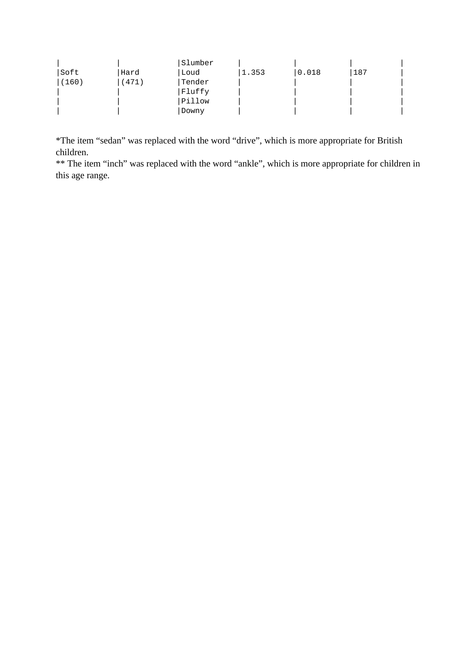|      |       | Slumber |       |       |     |
|------|-------|---------|-------|-------|-----|
| Soft | Hard  | Loud    | 1.353 | 0.018 | 187 |
| 160) | (471) | Tender  |       |       |     |
|      |       | Fluffy  |       |       |     |
|      |       | Pillow  |       |       |     |
|      |       | Downy   |       |       |     |

\*The item "sedan" was replaced with the word "drive", which is more appropriate for British children.

\*\* The item "inch" was replaced with the word "ankle", which is more appropriate for children in this age range.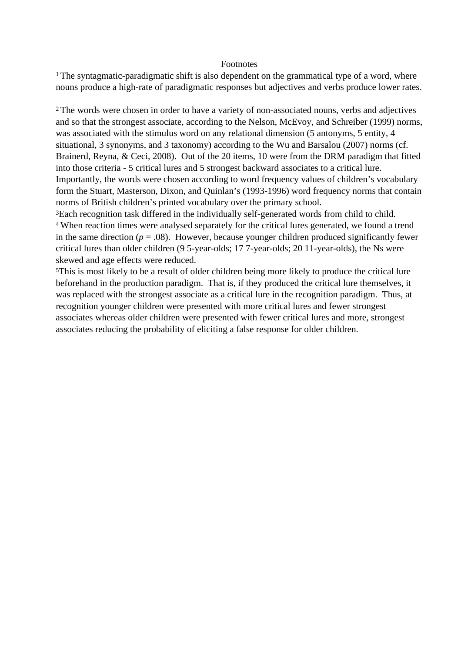#### Footnotes

<sup>1</sup>The syntagmatic-paradigmatic shift is also dependent on the grammatical type of a word, where nouns produce a high-rate of paradigmatic responses but adjectives and verbs produce lower rates.

<sup>2</sup>The words were chosen in order to have a variety of non-associated nouns, verbs and adjectives and so that the strongest associate, according to the Nelson, McEvoy, and Schreiber (1999) norms, was associated with the stimulus word on any relational dimension (5 antonyms, 5 entity, 4 situational, 3 synonyms, and 3 taxonomy) according to the Wu and Barsalou (2007) norms (cf. Brainerd, Reyna, & Ceci, 2008). Out of the 20 items, 10 were from the DRM paradigm that fitted into those criteria - 5 critical lures and 5 strongest backward associates to a critical lure. Importantly, the words were chosen according to word frequency values of children's vocabulary form the Stuart, Masterson, Dixon, and Quinlan's (1993-1996) word frequency norms that contain norms of British children's printed vocabulary over the primary school.

<sup>3</sup>Each recognition task differed in the individually self-generated words from child to child. <sup>4</sup>When reaction times were analysed separately for the critical lures generated, we found a trend in the same direction ( $p = .08$ ). However, because younger children produced significantly fewer critical lures than older children (9 5-year-olds; 17 7-year-olds; 20 11-year-olds), the Ns were skewed and age effects were reduced.

<sup>5</sup>This is most likely to be a result of older children being more likely to produce the critical lure beforehand in the production paradigm. That is, if they produced the critical lure themselves, it was replaced with the strongest associate as a critical lure in the recognition paradigm. Thus, at recognition younger children were presented with more critical lures and fewer strongest associates whereas older children were presented with fewer critical lures and more, strongest associates reducing the probability of eliciting a false response for older children.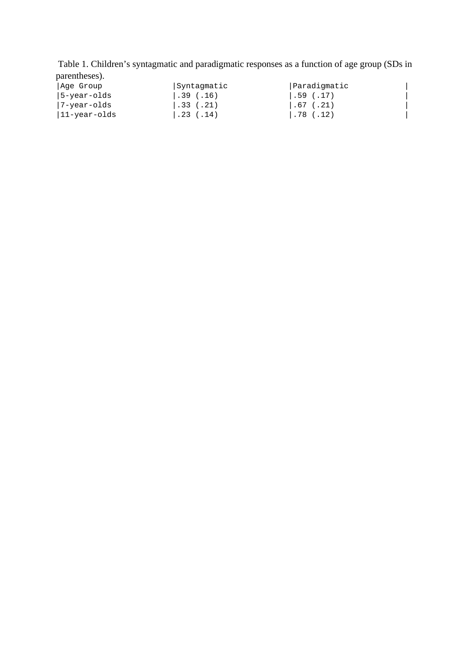Table 1. Children's syntagmatic and paradigmatic responses as a function of age group (SDs in parentheses).

| Age Group        | Syntagmatic                   | Paradigmatic               |
|------------------|-------------------------------|----------------------------|
| 5-year-olds      | $\vert .39 \vert (.16) \vert$ | $\vert .59 \; (.17) \vert$ |
| 7-year-olds      | $\vert .33 \vert (.21)$       | $\vert .67 \; (.21) \vert$ |
| $ 11$ -year-olds | $\vert .23 \vert (.14)$       | $1.78$ (.12)               |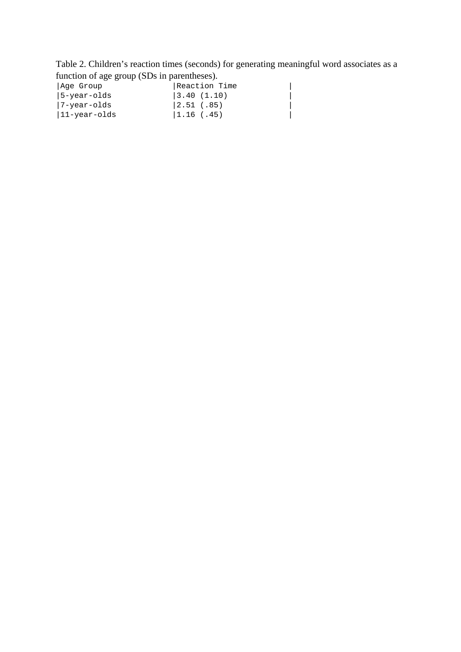Table 2. Children's reaction times (seconds) for generating meaningful word associates as a function of age group (SDs in parentheses).

| Age Group        | Reaction Time |
|------------------|---------------|
| 5-year-olds      | 3.40(1.10)    |
| 7-year-olds      | 2.51(0.85)    |
| $ 11$ -year-olds | 1.16( .45)    |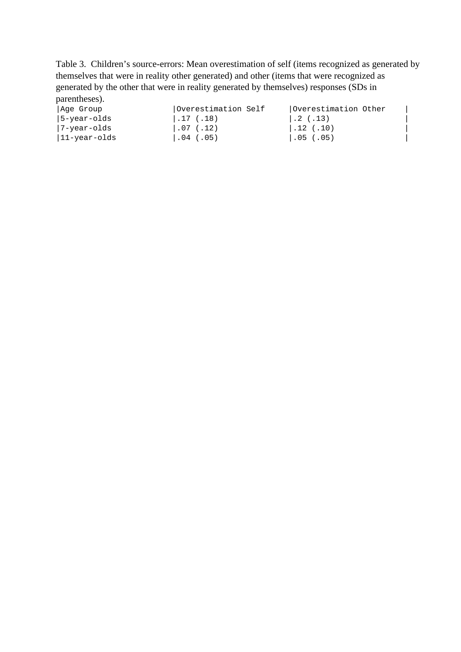Table 3. Children's source-errors: Mean overestimation of self (items recognized as generated by themselves that were in reality other generated) and other (items that were recognized as generated by the other that were in reality generated by themselves) responses (SDs in parentheses).

| Age Group    | Overestimation Self     | Overestimation Other       |  |
|--------------|-------------------------|----------------------------|--|
| 5-year-olds  | 1.17(0.18)              | $\vert .2$ (.13)           |  |
| 7-year-olds  | $\vert .07 \vert (.12)$ | $\vert .12 \; (.10) \vert$ |  |
| 11-year-olds | $.04$ (.05)             | $1.05$ (.05)               |  |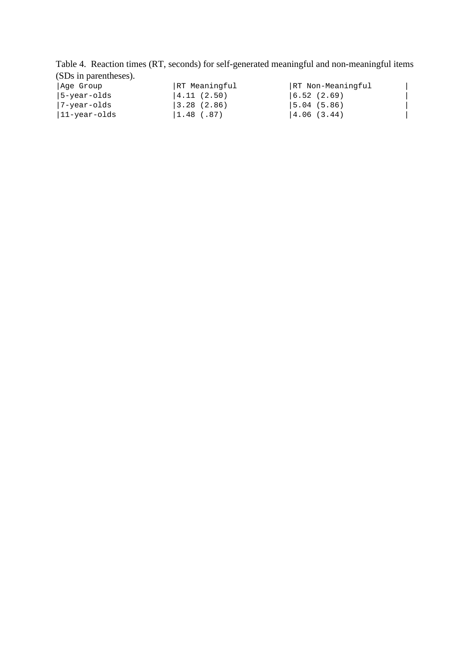Table 4. Reaction times (RT, seconds) for self-generated meaningful and non-meaningful items (SDs in parentheses).

| Age Group        | RT Meaningful | RT Non-Meaningful |
|------------------|---------------|-------------------|
| 5-year-olds      | 4.11(2.50)    | 6.52(2.69)        |
| 7-year-olds      | 3.28(2.86)    | $ 5.04 \t(5.86)$  |
| $ 11$ -year-olds | 1.48(0.87)    | 4.06(3.44)        |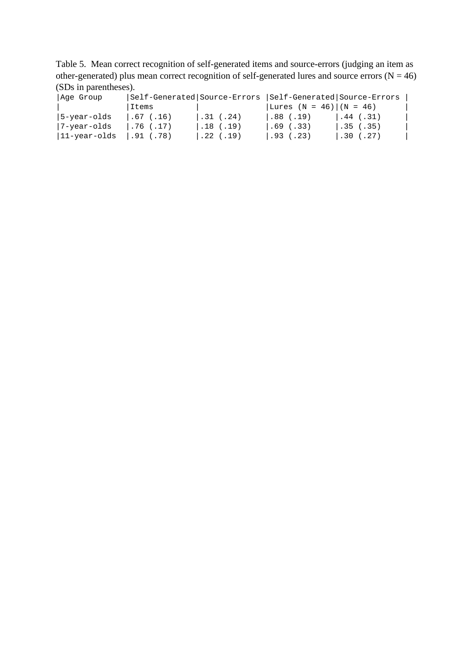Table 5. Mean correct recognition of self-generated items and source-errors (judging an item as other-generated) plus mean correct recognition of self-generated lures and source errors ( $N = 46$ ) (SDs in parentheses).

| Age Group                      |                            |                               | Self-Generated Source-Errors  Self-Generated Source-Errors |                               |  |
|--------------------------------|----------------------------|-------------------------------|------------------------------------------------------------|-------------------------------|--|
|                                | lItems                     |                               | Lures (N = 46)  (N = 46)                                   |                               |  |
| 5-year-olds                    | $\vert .67 \; (.16) \vert$ | $\vert .31 \vert (.24) \vert$ | $1.88$ (.19)                                               | $\vert .44$ (.31)             |  |
| 7-year-olds                    | $1.76$ (.17)               | $1.18$ (.19)                  | $1.69$ (.33)                                               | $\vert .35 \vert (.35) \vert$ |  |
| $ 11 - year - olds $ .91 (.78) |                            | $1.22$ (.19)                  | 1.93(0.23)                                                 | 1.30(0.27)                    |  |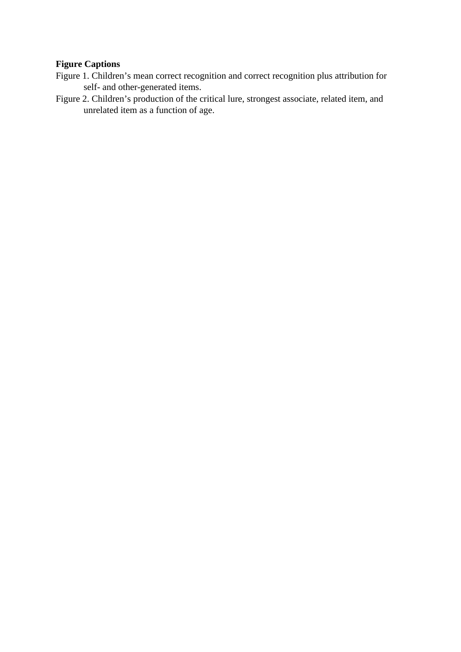# **Figure Captions**

- Figure 1. Children's mean correct recognition and correct recognition plus attribution for self- and other-generated items.
- Figure 2. Children's production of the critical lure, strongest associate, related item, and unrelated item as a function of age.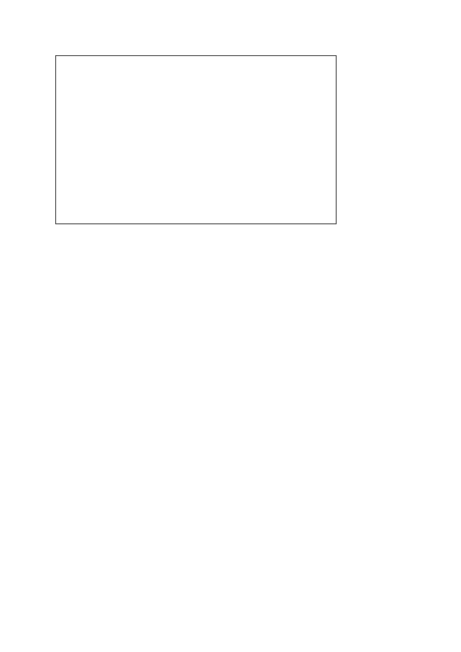